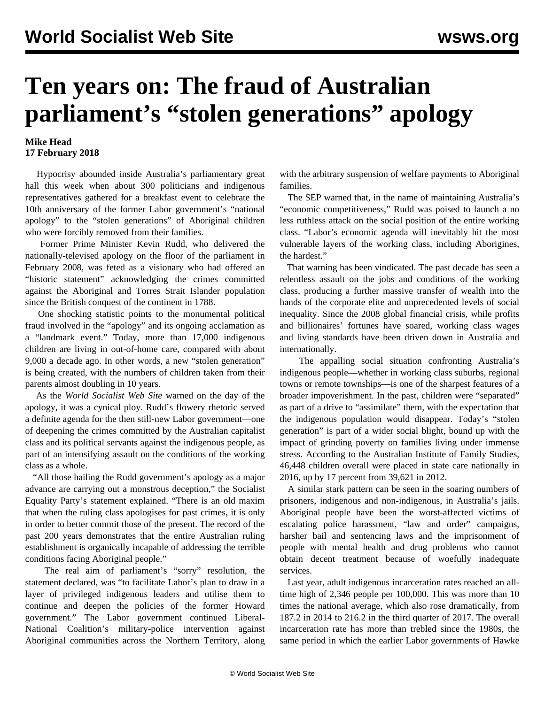## **Ten years on: The fraud of Australian parliament's "stolen generations" apology**

## **Mike Head 17 February 2018**

 Hypocrisy abounded inside Australia's parliamentary great hall this week when about 300 politicians and indigenous representatives gathered for a breakfast event to celebrate the 10th anniversary of the former Labor government's "national apology" to the "stolen generations" of Aboriginal children who were forcibly removed from their families.

 Former Prime Minister Kevin Rudd, who delivered the nationally-televised apology on the floor of the parliament in February 2008, was feted as a visionary who had offered an "historic statement" acknowledging the crimes committed against the Aboriginal and Torres Strait Islander population since the British conquest of the continent in 1788.

 One shocking statistic points to the monumental political fraud involved in the "apology" and its ongoing acclamation as a "landmark event." Today, more than 17,000 indigenous children are living in out-of-home care, compared with about 9,000 a decade ago. In other words, a new "stolen generation" is being created, with the numbers of children taken from their parents almost doubling in 10 years.

 As the *World Socialist Web Site* warned on the day of the apology, it was a cynical ploy. Rudd's flowery rhetoric served a definite agenda for the then still-new Labor government—one of deepening the crimes committed by the Australian capitalist class and its political servants against the indigenous people, as part of an intensifying assault on the conditions of the working class as a whole.

 "All those hailing the Rudd government's apology as a major advance are carrying out a monstrous deception," the Socialist Equality Party's [statement](/en/articles/2008/02/sorr-f12.html) explained. "There is an old maxim that when the ruling class apologises for past crimes, it is only in order to better commit those of the present. The record of the past 200 years demonstrates that the entire Australian ruling establishment is organically incapable of addressing the terrible conditions facing Aboriginal people."

 The real aim of parliament's "sorry" resolution, the statement declared, was "to facilitate Labor's plan to draw in a layer of privileged indigenous leaders and utilise them to continue and deepen the policies of the former Howard government." The Labor government continued Liberal-National Coalition's military-police intervention against Aboriginal communities across the Northern Territory, along with the arbitrary suspension of welfare payments to Aboriginal families.

 The SEP warned that, in the name of maintaining Australia's "economic competitiveness," Rudd was poised to launch a no less ruthless attack on the social position of the entire working class. "Labor's economic agenda will inevitably hit the most vulnerable layers of the working class, including Aborigines, the hardest."

 That warning has been vindicated. The past decade has seen a relentless assault on the jobs and conditions of the working class, producing a further massive transfer of wealth into the hands of the corporate elite and unprecedented levels of social inequality. Since the 2008 global financial crisis, while profits and billionaires' fortunes have soared, working class wages and living standards have been driven down in Australia and internationally.

 The appalling social situation confronting Australia's indigenous people—whether in working class suburbs, regional towns or remote townships—is one of the sharpest features of a broader impoverishment. In the past, children were "separated" as part of a drive to "assimilate" them, with the expectation that the indigenous population would disappear. Today's "stolen generation" is part of a wider social blight, bound up with the impact of grinding poverty on families living under immense stress. According to the Australian Institute of Family Studies, 46,448 children overall were placed in state care nationally in 2016, up by 17 percent from 39,621 in 2012.

 A similar stark pattern can be seen in the soaring numbers of prisoners, indigenous and non-indigenous, in Australia's jails. Aboriginal people have been the worst-affected victims of escalating police harassment, "law and order" campaigns, harsher bail and sentencing laws and the imprisonment of people with mental health and drug problems who cannot obtain decent treatment because of woefully inadequate services.

 Last year, adult indigenous incarceration rates reached an alltime high of 2,346 people per 100,000. This was more than 10 times the national average, which also rose dramatically, from 187.2 in 2014 to 216.2 in the third quarter of 2017. The overall incarceration rate has more than trebled since the 1980s, the same period in which the earlier Labor governments of Hawke